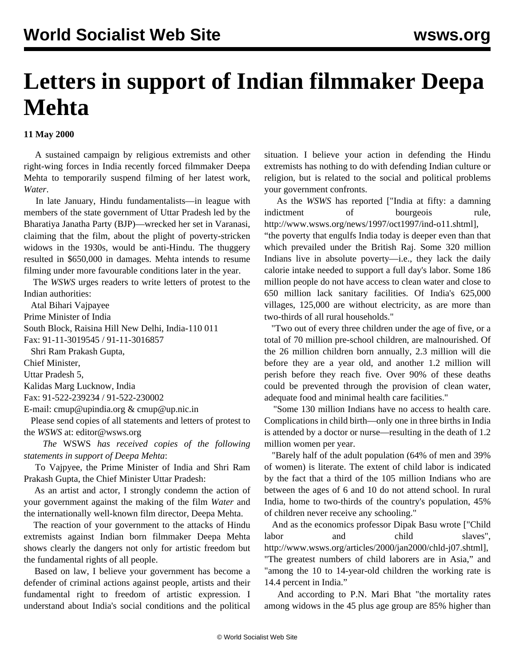## **Letters in support of Indian filmmaker Deepa Mehta**

## **11 May 2000**

 A sustained campaign by religious extremists and other right-wing forces in India recently forced filmmaker Deepa Mehta to temporarily suspend filming of her latest work, *Water*.

 In late January, Hindu fundamentalists—in league with members of the state government of Uttar Pradesh led by the Bharatiya Janatha Party (BJP)—wrecked her set in Varanasi, claiming that the film, about the plight of poverty-stricken widows in the 1930s, would be anti-Hindu. The thuggery resulted in \$650,000 in damages. Mehta intends to resume filming under more favourable conditions later in the year.

 The *WSWS* urges readers to write letters of protest to the Indian authorities:

Atal Bihari Vajpayee

Prime Minister of India

South Block, Raisina Hill New Delhi, India-110 011

Fax: 91-11-3019545 / 91-11-3016857

Shri Ram Prakash Gupta,

Chief Minister,

Uttar Pradesh 5,

Kalidas Marg Lucknow, India

Fax: 91-522-239234 / 91-522-230002

E-mail: [cmup@upindia.org](mailto:cmup@upindia.org) & [cmup@up.nic.in](mailto:cmup@up.nic.in)

 Please send copies of all statements and letters of protest to the *WSWS* at: [editor@wsws.org](http://www3.wsws.org/dd-formmailer/dd-formmailer.php)

 *The* WSWS *has received copies of the following statements in support of Deepa Mehta*:

 To Vajpyee, the Prime Minister of India and Shri Ram Prakash Gupta, the Chief Minister Uttar Pradesh:

 As an artist and actor, I strongly condemn the action of your government against the making of the film *Water* and the internationally well-known film director, Deepa Mehta.

 The reaction of your government to the attacks of Hindu extremists against Indian born filmmaker Deepa Mehta shows clearly the dangers not only for artistic freedom but the fundamental rights of all people.

 Based on law, I believe your government has become a defender of criminal actions against people, artists and their fundamental right to freedom of artistic expression. I understand about India's social conditions and the political situation. I believe your action in defending the Hindu extremists has nothing to do with defending Indian culture or religion, but is related to the social and political problems your government confronts.

 As the *WSWS* has reported [["India at fifty: a damning](/news/1997/oct1997/ind-o11.shtml) [indictment of bourgeois rule,](/news/1997/oct1997/ind-o11.shtml) http://www.wsws.org/news/1997/oct1997/ind-o11.shtml],

"the poverty that engulfs India today is deeper even than that which prevailed under the British Raj. Some 320 million Indians live in absolute poverty—i.e., they lack the daily calorie intake needed to support a full day's labor. Some 186 million people do not have access to clean water and close to 650 million lack sanitary facilities. Of India's 625,000 villages, 125,000 are without electricity, as are more than two-thirds of all rural households."

 "Two out of every three children under the age of five, or a total of 70 million pre-school children, are malnourished. Of the 26 million children born annually, 2.3 million will die before they are a year old, and another 1.2 million will perish before they reach five. Over 90% of these deaths could be prevented through the provision of clean water, adequate food and minimal health care facilities."

 "Some 130 million Indians have no access to health care. Complications in child birth—only one in three births in India is attended by a doctor or nurse—resulting in the death of 1.2 million women per year.

 "Barely half of the adult population (64% of men and 39% of women) is literate. The extent of child labor is indicated by the fact that a third of the 105 million Indians who are between the ages of 6 and 10 do not attend school. In rural India, home to two-thirds of the country's population, 45% of children never receive any schooling."

 And as the economics professor Dipak Basu wrote [["Child](/en/articles/2000/jan2000/chld-j07.shtml) [labor and child slaves](/en/articles/2000/jan2000/chld-j07.shtml)", http://www.wsws.org/articles/2000/jan2000/chld-j07.shtml], "The greatest numbers of child laborers are in Asia," and "among the 10 to 14-year-old children the working rate is 14.4 percent in India."

 And according to P.N. Mari Bhat "the mortality rates among widows in the 45 plus age group are 85% higher than